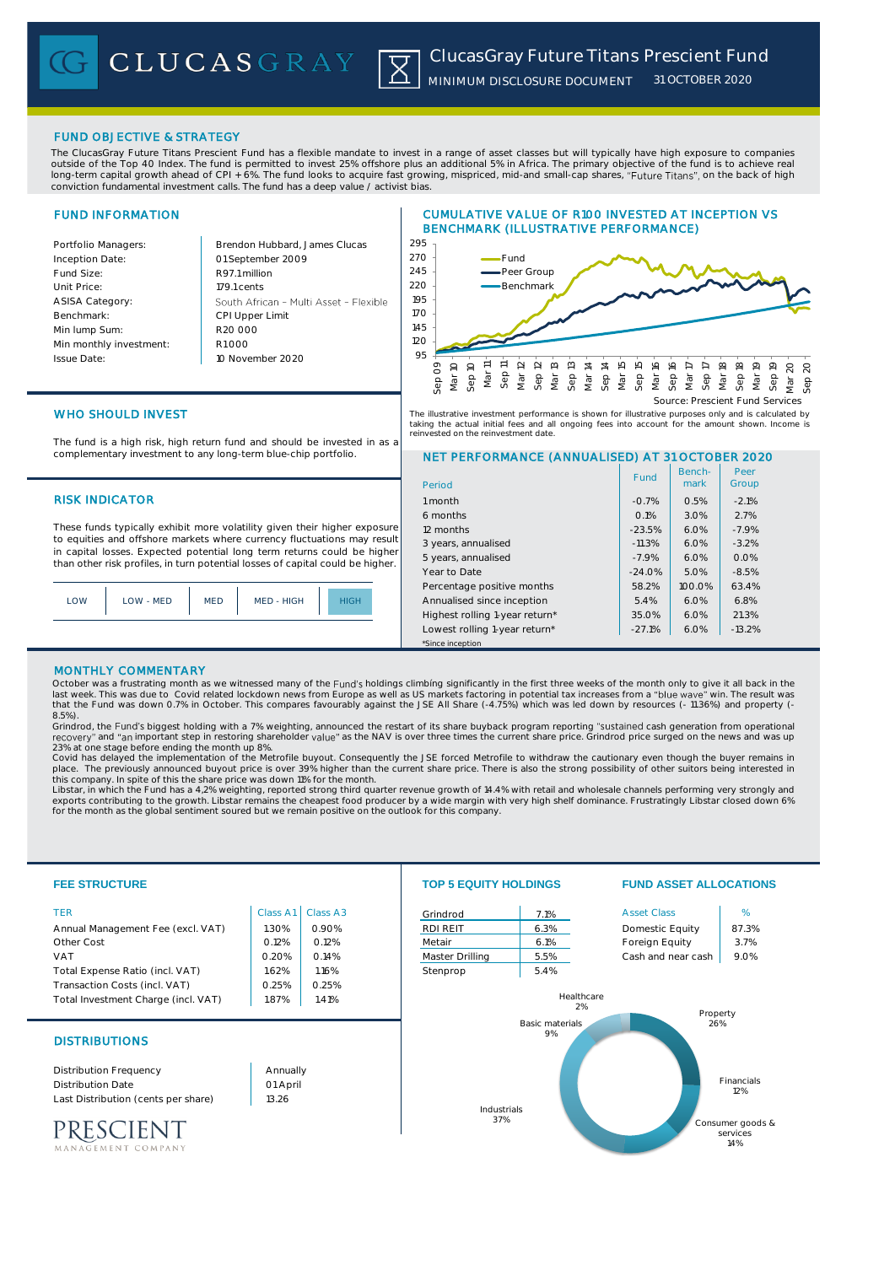# FUND OBJECTIVE & STRATEGY

The ClucasGray Future Titans Prescient Fund has a flexible mandate to invest in a range of asset classes but will typically have high exposure to companies outside of the Top 40 Index. The fund is permitted to invest 25% offshore plus an additional 5% in Africa. The primary objective of the fund is to achieve real long-term capital growth ahead of CPI + 6%. The fund looks to acquire fast growing, mispriced, mid-and small-cap shares, "Future Titans", on the back of high conviction fundamental investment calls. The fund has a deep value / activist bias.

# FUND INFORMATION

Benchmark:

Issue Date:

Portfolio Managers: Brendon Hubbard, James Clucas Inception Date: 01 September 2009 Fund Size: R97.1 million Unit Price: 179.1 cents ASISA Category: South African - Multi Asset - Flexible CPI Upper Limit Min lump Sum: R20 000 Min monthly investment: R1 000 10 November 2020 95

# CUMULATIVE VALUE OF R100 INVESTED AT INCEPTION VS BENCHMARK (ILLUSTRATIVE PERFORMANCE)



# WHO SHOULD INVEST

The fund is a high risk, high return fund and should be invested in as a complementary investment to any long-term blue-chip portfolio.

# **RISK INDICATOR**

These funds typically exhibit more volatility given their higher exposure to equities and offshore markets where currency fluctuations may result in capital losses. Expected potential long term returns could be higher than other risk profiles, in turn potential losses of capital could be higher.

| LOW | LOW - MED | <b>MED</b> | MED - HIGH | <b>HIGH</b> |
|-----|-----------|------------|------------|-------------|
|     |           |            |            |             |

The illustrative investment performance is shown for illustrative purposes only and is calculated by<br>taking the actual initial fees and all ongoing fees into account for the amount shown. Income is<br>reinvested on the reinve

# NET PERFORMANCE (ANNUALISED) AT 31 OCTOBER 2020

| Period                         | Fund     | Bench-<br>mark | Peer<br>Group |
|--------------------------------|----------|----------------|---------------|
| 1 month                        | $-0.7%$  | 0.5%           | $-2.1%$       |
| 6 months                       | 0.1%     | 3.0%           | 2.7%          |
| 12 months                      | $-23.5%$ | 6.0%           | $-7.9%$       |
| 3 years, annualised            | $-11.3%$ | 6.0%           | $-3.2%$       |
| 5 years, annualised            | $-7.9%$  | 6.0%           | 0.0%          |
| Year to Date                   | $-24.0%$ | 5.0%           | $-8.5%$       |
| Percentage positive months     | 58.2%    | 100.0%         | 63.4%         |
| Annualised since inception     | 5.4%     | 6.0%           | 6.8%          |
| Highest rolling 1-year return* | 35.0%    | 6.0%           | 21.3%         |
| Lowest rolling 1-year return*  | $-27.1%$ | 6.0%           | $-13.2%$      |
| *Since inception               |          |                |               |

### MONTHLY COMMENTARY

October was a frustrating month as we witnessed many of the Fund's holdings climbing significantly in the first three weeks of the month only to give it all back in the last week. This was due to Covid related lockdown news from Europe as well as US markets factoring in potential tax increases from a "blue wave" win. The result was<br>that the Fund was down 0.7% in October. This compares fa 8.5%).

Grindrod, the Fund's biggest holding with a 7% weighting, announced the restart of its share buyback program reporting "sustained cash generation from operational<br>recovery" and "an important step in restoring shareholder v

23% at one stage before ending the month up 8%.<br>Covid has delayed the implementation of the Metrofile buyout. Consequently the JSE forced Metrofile to withdraw the cautionary even though the buyer remains in<br>place. The pre

this company. In spite of this the share price was down 11% for the month.<br>Libstar, in which the Fund has a 4,2% weighting, reported strong third quarter revenue growth of 14.4% with retail and wholesale channels performin



MANAGEMENT COMPANY